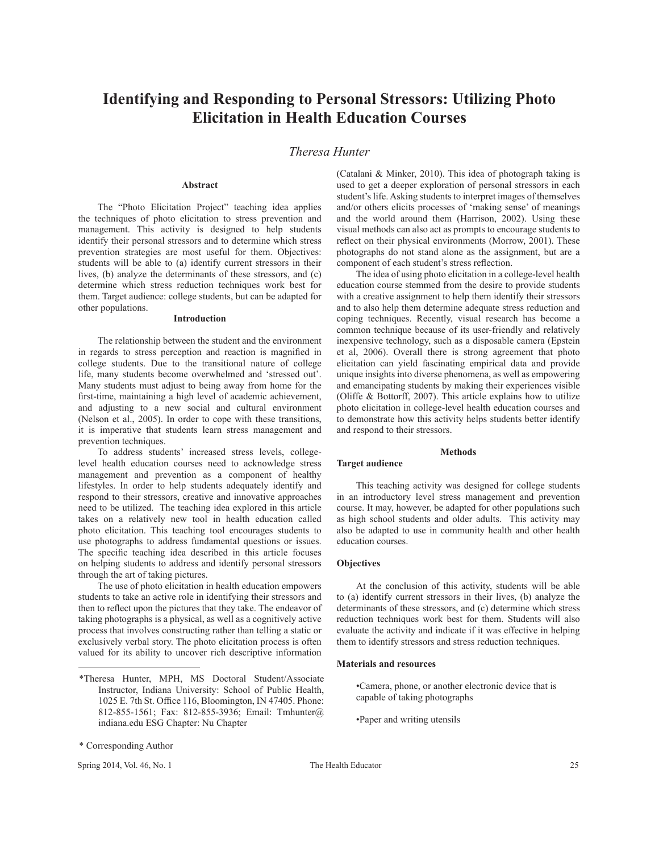# **Identifying and Responding to Personal Stressors: Utilizing Photo Elicitation in Health Education Courses**

# *Theresa Hunter*

## **Abstract**

The "Photo Elicitation Project" teaching idea applies the techniques of photo elicitation to stress prevention and management. This activity is designed to help students identify their personal stressors and to determine which stress prevention strategies are most useful for them. Objectives: students will be able to (a) identify current stressors in their lives, (b) analyze the determinants of these stressors, and (c) determine which stress reduction techniques work best for them. Target audience: college students, but can be adapted for other populations.

## **Introduction**

The relationship between the student and the environment in regards to stress perception and reaction is magnified in college students. Due to the transitional nature of college life, many students become overwhelmed and 'stressed out'. Many students must adjust to being away from home for the first-time, maintaining a high level of academic achievement, and adjusting to a new social and cultural environment (Nelson et al., 2005). In order to cope with these transitions, it is imperative that students learn stress management and prevention techniques.

To address students' increased stress levels, collegelevel health education courses need to acknowledge stress management and prevention as a component of healthy lifestyles. In order to help students adequately identify and respond to their stressors, creative and innovative approaches need to be utilized. The teaching idea explored in this article takes on a relatively new tool in health education called photo elicitation. This teaching tool encourages students to use photographs to address fundamental questions or issues. The specific teaching idea described in this article focuses on helping students to address and identify personal stressors through the art of taking pictures.

The use of photo elicitation in health education empowers students to take an active role in identifying their stressors and then to reflect upon the pictures that they take. The endeavor of taking photographs is a physical, as well as a cognitively active process that involves constructing rather than telling a static or exclusively verbal story. The photo elicitation process is often valued for its ability to uncover rich descriptive information

Spring 2014, Vol. 46, No. 1 The Health Educator 25

(Catalani & Minker, 2010). This idea of photograph taking is used to get a deeper exploration of personal stressors in each student's life. Asking students to interpret images of themselves and/or others elicits processes of 'making sense' of meanings and the world around them (Harrison, 2002). Using these visual methods can also act as prompts to encourage students to reflect on their physical environments (Morrow, 2001). These photographs do not stand alone as the assignment, but are a component of each student's stress reflection.

The idea of using photo elicitation in a college-level health education course stemmed from the desire to provide students with a creative assignment to help them identify their stressors and to also help them determine adequate stress reduction and coping techniques. Recently, visual research has become a common technique because of its user-friendly and relatively inexpensive technology, such as a disposable camera (Epstein et al, 2006). Overall there is strong agreement that photo elicitation can yield fascinating empirical data and provide unique insights into diverse phenomena, as well as empowering and emancipating students by making their experiences visible (Oliffe & Bottorff, 2007). This article explains how to utilize photo elicitation in college-level health education courses and to demonstrate how this activity helps students better identify and respond to their stressors.

## **Methods**

## **Target audience**

This teaching activity was designed for college students in an introductory level stress management and prevention course. It may, however, be adapted for other populations such as high school students and older adults. This activity may also be adapted to use in community health and other health education courses.

## **Objectives**

At the conclusion of this activity, students will be able to (a) identify current stressors in their lives, (b) analyze the determinants of these stressors, and (c) determine which stress reduction techniques work best for them. Students will also evaluate the activity and indicate if it was effective in helping them to identify stressors and stress reduction techniques.

## **Materials and resources**

•Camera, phone, or another electronic device that is capable of taking photographs

•Paper and writing utensils

<sup>\*</sup>Theresa Hunter, MPH, MS Doctoral Student/Associate Instructor, Indiana University: School of Public Health, 1025 E. 7th St. Office 116, Bloomington, IN 47405. Phone: 812-855-1561; Fax: 812-855-3936; Email: Tmhunter@ indiana.edu ESG Chapter: Nu Chapter

<sup>\*</sup> Corresponding Author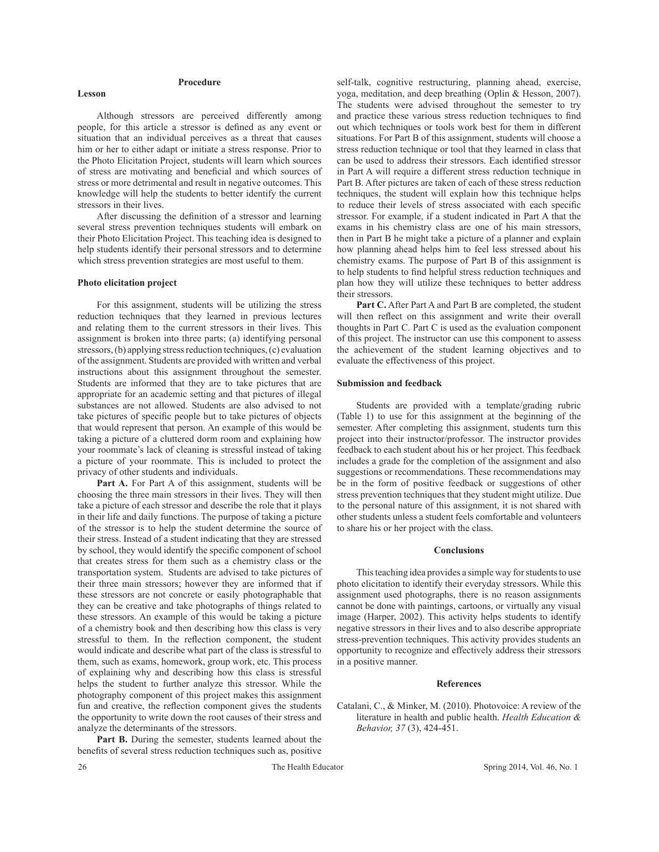## **Procedure**

**Lesson**

Although stressors are perceived differently among people, for this article a stressor is defined as any event or situation that an individual perceives as a threat that causes him or her to either adapt or initiate a stress response. Prior to the Photo Elicitation Project, students will learn which sources of stress are motivating and beneficial and which sources of stress or more detrimental and result in negative outcomes. This knowledge will help the students to better identify the current stressors in their lives.

After discussing the definition of a stressor and learning several stress prevention techniques students will embark on their Photo Elicitation Project. This teaching idea is designed to help students identify their personal stressors and to determine which stress prevention strategies are most useful to them.

## **Photo elicitation project**

For this assignment, students will be utilizing the stress reduction techniques that they learned in previous lectures and relating them to the current stressors in their lives. This assignment is broken into three parts; (a) identifying personal stressors, (b) applying stress reduction techniques, (c) evaluation of the assignment. Students are provided with written and verbal instructions about this assignment throughout the semester. Students are informed that they are to take pictures that are appropriate for an academic setting and that pictures of illegal substances are not allowed. Students are also advised to not take pictures of specific people but to take pictures of objects that would represent that person. An example of this would be taking a picture of a cluttered dorm room and explaining how your roommate's lack of cleaning is stressful instead of taking a picture of your roommate. This is included to protect the privacy of other students and individuals.

Part A. For Part A of this assignment, students will be choosing the three main stressors in their lives. They will then take a picture of each stressor and describe the role that it plays in their life and daily functions. The purpose of taking a picture of the stressor is to help the student determine the source of their stress. Instead of a student indicating that they are stressed by school, they would identify the specific component of school that creates stress for them such as a chemistry class or the transportation system. Students are advised to take pictures of their three main stressors; however they are informed that if these stressors are not concrete or easily photographable that they can be creative and take photographs of things related to these stressors. An example of this would be taking a picture of a chemistry book and then describing how this class is very stressful to them. In the reflection component, the student would indicate and describe what part of the class is stressful to them, such as exams, homework, group work, etc. This process of explaining why and describing how this class is stressful helps the student to further analyze this stressor. While the photography component of this project makes this assignment fun and creative, the reflection component gives the students the opportunity to write down the root causes of their stress and analyze the determinants of the stressors.

Part B. During the semester, students learned about the benefits of several stress reduction techniques such as, positive

self-talk, cognitive restructuring, planning ahead, exercise, yoga, meditation, and deep breathing (Oplin & Hesson, 2007). The students were advised throughout the semester to try and practice these various stress reduction techniques to find out which techniques or tools work best for them in different situations. For Part B of this assignment, students will choose a stress reduction technique or tool that they learned in class that can be used to address their stressors. Each identified stressor in Part A will require a different stress reduction technique in Part B. After pictures are taken of each of these stress reduction techniques, the student will explain how this technique helps to reduce their levels of stress associated with each specific stressor. For example, if a student indicated in Part A that the exams in his chemistry class are one of his main stressors, then in Part B he might take a picture of a planner and explain how planning ahead helps him to feel less stressed about his chemistry exams. The purpose of Part B of this assignment is to help students to find helpful stress reduction techniques and plan how they will utilize these techniques to better address their stressors.

Part C. After Part A and Part B are completed, the student will then reflect on this assignment and write their overall thoughts in Part C. Part C is used as the evaluation component of this project. The instructor can use this component to assess the achievement of the student learning objectives and to evaluate the effectiveness of this project.

## **Submission and feedback**

Students are provided with a template/grading rubric (Table 1) to use for this assignment at the beginning of the semester. After completing this assignment, students turn this project into their instructor/professor. The instructor provides feedback to each student about his or her project. This feedback includes a grade for the completion of the assignment and also suggestions or recommendations. These recommendations may be in the form of positive feedback or suggestions of other stress prevention techniques that they student might utilize. Due to the personal nature of this assignment, it is not shared with other students unless a student feels comfortable and volunteers to share his or her project with the class.

#### **Conclusions**

This teaching idea provides a simple way for students to use photo elicitation to identify their everyday stressors. While this assignment used photographs, there is no reason assignments cannot be done with paintings, cartoons, or virtually any visual image (Harper, 2002). This activity helps students to identify negative stressors in their lives and to also describe appropriate stress-prevention techniques. This activity provides students an opportunity to recognize and effectively address their stressors in a positive manner.

#### **References**

Catalani, C., & Minker, M. (2010). Photovoice: A review of the literature in health and public health. *Health Education & Behavior, 37* (3), 424-451.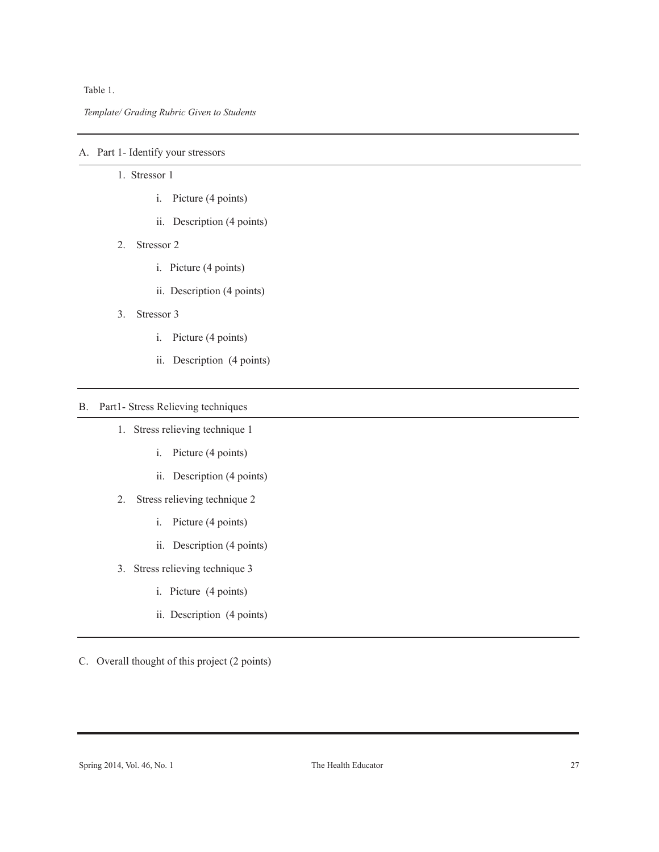Table 1.

*Template/ Grading Rubric Given to Students*

# A. Part 1- Identify your stressors

- 1. Stressor 1
	- i. Picture (4 points)
	- ii. Description (4 points)
- 2. Stressor 2
	- i. Picture (4 points)
	- ii. Description (4 points)
- 3. Stressor 3
	- i. Picture (4 points)
	- ii. Description (4 points)

# B. Part1- Stress Relieving techniques

- 1. Stress relieving technique 1
	- i. Picture (4 points)
	- ii. Description (4 points)
- 2. Stress relieving technique 2
	- i. Picture (4 points)
	- ii. Description (4 points)
- 3. Stress relieving technique 3
	- i. Picture (4 points)
	- ii. Description (4 points)

C. Overall thought of this project (2 points)